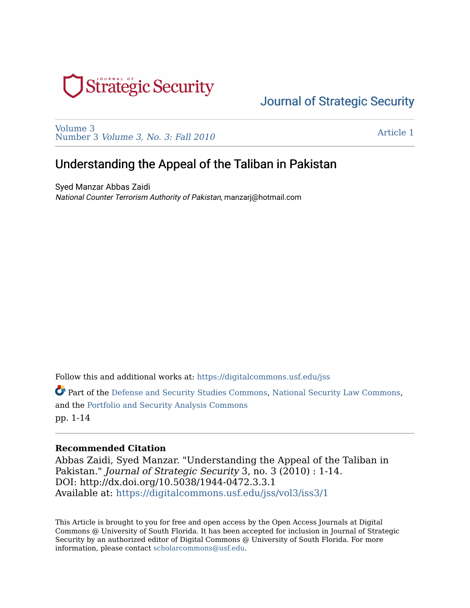

[Volume 3](https://digitalcommons.usf.edu/jss/vol3)  Number 3 [Volume 3, No. 3: Fall 2010](https://digitalcommons.usf.edu/jss/vol3/iss3) 

[Article 1](https://digitalcommons.usf.edu/jss/vol3/iss3/1) 

# Understanding the Appeal of the Taliban in Pakistan

Syed Manzar Abbas Zaidi National Counter Terrorism Authority of Pakistan, manzarj@hotmail.com

Follow this and additional works at: [https://digitalcommons.usf.edu/jss](https://digitalcommons.usf.edu/jss?utm_source=digitalcommons.usf.edu%2Fjss%2Fvol3%2Fiss3%2F1&utm_medium=PDF&utm_campaign=PDFCoverPages)

Part of the [Defense and Security Studies Commons,](http://network.bepress.com/hgg/discipline/394?utm_source=digitalcommons.usf.edu%2Fjss%2Fvol3%2Fiss3%2F1&utm_medium=PDF&utm_campaign=PDFCoverPages) [National Security Law Commons,](http://network.bepress.com/hgg/discipline/1114?utm_source=digitalcommons.usf.edu%2Fjss%2Fvol3%2Fiss3%2F1&utm_medium=PDF&utm_campaign=PDFCoverPages) and the [Portfolio and Security Analysis Commons](http://network.bepress.com/hgg/discipline/640?utm_source=digitalcommons.usf.edu%2Fjss%2Fvol3%2Fiss3%2F1&utm_medium=PDF&utm_campaign=PDFCoverPages)  pp. 1-14

### **Recommended Citation**

Abbas Zaidi, Syed Manzar. "Understanding the Appeal of the Taliban in Pakistan." Journal of Strategic Security 3, no. 3 (2010) : 1-14. DOI: http://dx.doi.org/10.5038/1944-0472.3.3.1 Available at: [https://digitalcommons.usf.edu/jss/vol3/iss3/1](https://digitalcommons.usf.edu/jss/vol3/iss3/1?utm_source=digitalcommons.usf.edu%2Fjss%2Fvol3%2Fiss3%2F1&utm_medium=PDF&utm_campaign=PDFCoverPages)

This Article is brought to you for free and open access by the Open Access Journals at Digital Commons @ University of South Florida. It has been accepted for inclusion in Journal of Strategic Security by an authorized editor of Digital Commons @ University of South Florida. For more information, please contact [scholarcommons@usf.edu.](mailto:scholarcommons@usf.edu)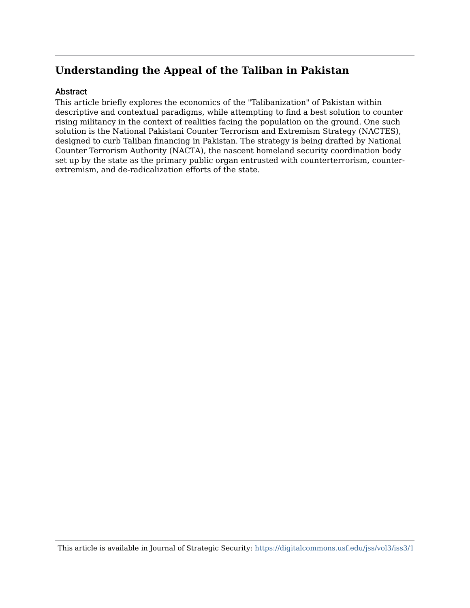## Abstract

This article briefly explores the economics of the "Talibanization" of Pakistan within descriptive and contextual paradigms, while attempting to find a best solution to counter rising militancy in the context of realities facing the population on the ground. One such solution is the National Pakistani Counter Terrorism and Extremism Strategy (NACTES), designed to curb Taliban financing in Pakistan. The strategy is being drafted by National Counter Terrorism Authority (NACTA), the nascent homeland security coordination body set up by the state as the primary public organ entrusted with counterterrorism, counterextremism, and de-radicalization efforts of the state.

This article is available in Journal of Strategic Security: <https://digitalcommons.usf.edu/jss/vol3/iss3/1>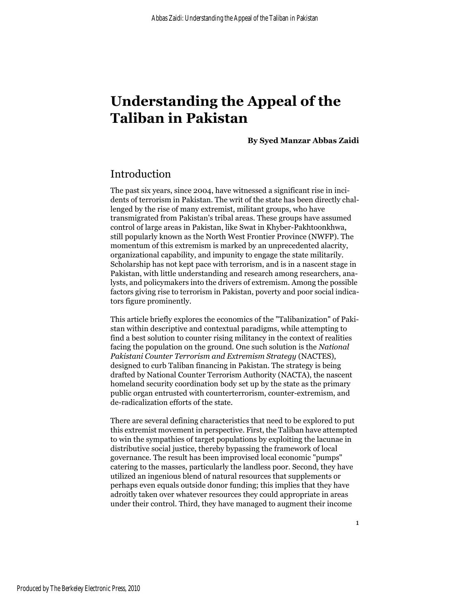**By Syed Manzar Abbas Zaidi**

## Introduction

The past six years, since 2004, have witnessed a significant rise in incidents of terrorism in Pakistan. The writ of the state has been directly challenged by the rise of many extremist, militant groups, who have transmigrated from Pakistan's tribal areas. These groups have assumed control of large areas in Pakistan, like Swat in Khyber-Pakhtoonkhwa, still popularly known as the North West Frontier Province (NWFP). The momentum of this extremism is marked by an unprecedented alacrity, organizational capability, and impunity to engage the state militarily. Scholarship has not kept pace with terrorism, and is in a nascent stage in Pakistan, with little understanding and research among researchers, analysts, and policymakers into the drivers of extremism. Among the possible factors giving rise to terrorism in Pakistan, poverty and poor social indicators figure prominently.

This article briefly explores the economics of the "Talibanization" of Pakistan within descriptive and contextual paradigms, while attempting to find a best solution to counter rising militancy in the context of realities facing the population on the ground. One such solution is the *National Pakistani Counter Terrorism and Extremism Strategy* (NACTES), designed to curb Taliban financing in Pakistan. The strategy is being drafted by National Counter Terrorism Authority (NACTA), the nascent homeland security coordination body set up by the state as the primary public organ entrusted with counterterrorism, counter-extremism, and de-radicalization efforts of the state.

There are several defining characteristics that need to be explored to put this extremist movement in perspective. First, the Taliban have attempted to win the sympathies of target populations by exploiting the lacunae in distributive social justice, thereby bypassing the framework of local governance. The result has been improvised local economic "pumps" catering to the masses, particularly the landless poor. Second, they have utilized an ingenious blend of natural resources that supplements or perhaps even equals outside donor funding; this implies that they have adroitly taken over whatever resources they could appropriate in areas under their control. Third, they have managed to augment their income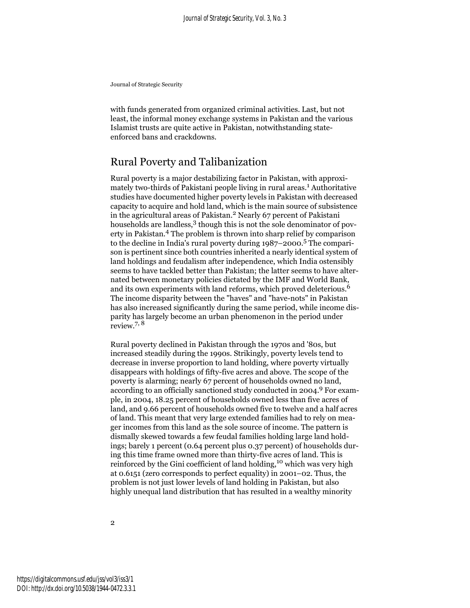with funds generated from organized criminal activities. Last, but not least, the informal money exchange systems in Pakistan and the various Islamist trusts are quite active in Pakistan, notwithstanding stateenforced bans and crackdowns.

# Rural Poverty and Talibanization

Rural poverty is a major destabilizing factor in Pakistan, with approximately two-thirds of Pakistani people living in rural areas.<sup>1</sup> Authoritative studies have documented higher poverty levels in Pakistan with decreased capacity to acquire and hold land, which is the main source of subsistence in the agricultural areas of Pakistan.<sup>2</sup> Nearly 67 percent of Pakistani households are landless,<sup>3</sup> though this is not the sole denominator of poverty in Pakistan.4 The problem is thrown into sharp relief by comparison to the decline in India's rural poverty during 1987–2000.5 The comparison is pertinent since both countries inherited a nearly identical system of land holdings and feudalism after independence, which India ostensibly seems to have tackled better than Pakistan; the latter seems to have alternated between monetary policies dictated by the IMF and World Bank, and its own experiments with land reforms, which proved deleterious.<sup>6</sup> The income disparity between the "haves" and "have-nots" in Pakistan has also increased significantly during the same period, while income disparity has largely become an urban phenomenon in the period under review.7, 8

Rural poverty declined in Pakistan through the 1970s and '80s, but increased steadily during the 1990s. Strikingly, poverty levels tend to decrease in inverse proportion to land holding, where poverty virtually disappears with holdings of fifty-five acres and above. The scope of the poverty is alarming; nearly 67 percent of households owned no land, according to an officially sanctioned study conducted in 2004.9 For example, in 2004, 18.25 percent of households owned less than five acres of land, and 9.66 percent of households owned five to twelve and a half acres of land. This meant that very large extended families had to rely on meager incomes from this land as the sole source of income. The pattern is dismally skewed towards a few feudal families holding large land holdings; barely 1 percent (0.64 percent plus 0.37 percent) of households during this time frame owned more than thirty-five acres of land. This is reinforced by the Gini coefficient of land holding,<sup>10</sup> which was very high at 0.6151 (zero corresponds to perfect equality) in 2001–02. Thus, the problem is not just lower levels of land holding in Pakistan, but also highly unequal land distribution that has resulted in a wealthy minority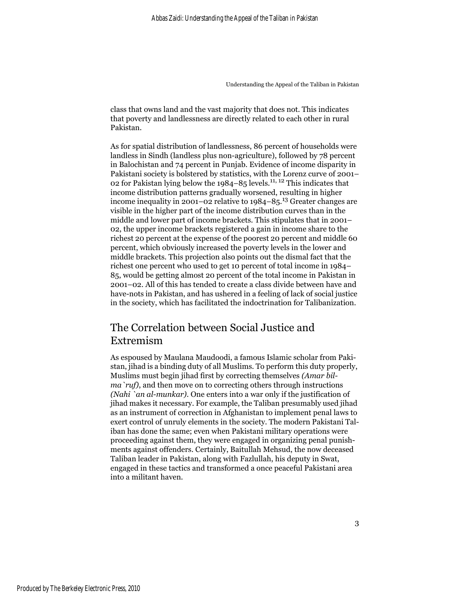class that owns land and the vast majority that does not. This indicates that poverty and landlessness are directly related to each other in rural Pakistan.

As for spatial distribution of landlessness, 86 percent of households were landless in Sindh (landless plus non-agriculture), followed by 78 percent in Balochistan and 74 percent in Punjab. Evidence of income disparity in Pakistani society is bolstered by statistics, with the Lorenz curve of 2001– 02 for Pakistan lying below the 1984–85 levels.11, 12 This indicates that income distribution patterns gradually worsened, resulting in higher income inequality in 2001–02 relative to 1984–85.13 Greater changes are visible in the higher part of the income distribution curves than in the middle and lower part of income brackets. This stipulates that in 2001– 02, the upper income brackets registered a gain in income share to the richest 20 percent at the expense of the poorest 20 percent and middle 60 percent, which obviously increased the poverty levels in the lower and middle brackets. This projection also points out the dismal fact that the richest one percent who used to get 10 percent of total income in 1984– 85, would be getting almost 20 percent of the total income in Pakistan in 2001–02. All of this has tended to create a class divide between have and have-nots in Pakistan, and has ushered in a feeling of lack of social justice in the society, which has facilitated the indoctrination for Talibanization.

# The Correlation between Social Justice and Extremism

As espoused by Maulana Maudoodi, a famous Islamic scholar from Pakistan, jihad is a binding duty of all Muslims. To perform this duty properly, Muslims must begin jihad first by correcting themselves *(Amar bilma`ruf)*, and then move on to correcting others through instructions *(Nahi `an al-munkar)*. One enters into a war only if the justification of jihad makes it necessary. For example, the Taliban presumably used jihad as an instrument of correction in Afghanistan to implement penal laws to exert control of unruly elements in the society. The modern Pakistani Taliban has done the same; even when Pakistani military operations were proceeding against them, they were engaged in organizing penal punishments against offenders. Certainly, Baitullah Mehsud, the now deceased Taliban leader in Pakistan, along with Fazlullah, his deputy in Swat, engaged in these tactics and transformed a once peaceful Pakistani area into a militant haven.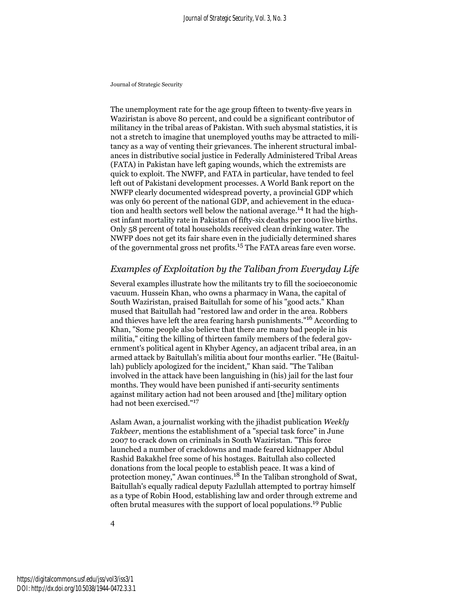The unemployment rate for the age group fifteen to twenty-five years in Waziristan is above 80 percent, and could be a significant contributor of militancy in the tribal areas of Pakistan. With such abysmal statistics, it is not a stretch to imagine that unemployed youths may be attracted to militancy as a way of venting their grievances. The inherent structural imbalances in distributive social justice in Federally Administered Tribal Areas (FATA) in Pakistan have left gaping wounds, which the extremists are quick to exploit. The NWFP, and FATA in particular, have tended to feel left out of Pakistani development processes. A World Bank report on the NWFP clearly documented widespread poverty, a provincial GDP which was only 60 percent of the national GDP, and achievement in the education and health sectors well below the national average.14 It had the highest infant mortality rate in Pakistan of fifty-six deaths per 1000 live births. Only 58 percent of total households received clean drinking water. The NWFP does not get its fair share even in the judicially determined shares of the governmental gross net profits.15 The FATA areas fare even worse.

### *Examples of Exploitation by the Taliban from Everyday Life*

Several examples illustrate how the militants try to fill the socioeconomic vacuum. Hussein Khan, who owns a pharmacy in Wana, the capital of South Waziristan, praised Baitullah for some of his "good acts." Khan mused that Baitullah had "restored law and order in the area. Robbers and thieves have left the area fearing harsh punishments."16 According to Khan, "Some people also believe that there are many bad people in his militia," citing the killing of thirteen family members of the federal government's political agent in Khyber Agency, an adjacent tribal area, in an armed attack by Baitullah's militia about four months earlier. "He (Baitullah) publicly apologized for the incident," Khan said. "The Taliban involved in the attack have been languishing in (his) jail for the last four months. They would have been punished if anti-security sentiments against military action had not been aroused and [the] military option had not been exercised."[17](#page-14-0)

Aslam Awan, a journalist working with the jihadist publication *Weekly Takbeer*, mentions the establishment of a "special task force" in June 2007 to crack down on criminals in South Waziristan. "This force launched a number of crackdowns and made feared kidnapper Abdul Rashid Bakakhel free some of his hostages. Baitullah also collected donations from the local people to establish peace. It was a kind of protection money," Awan continues.[18](#page-14-0) In the Taliban stronghold of Swat, Baitullah's equally radical deputy Fazlullah attempted to portray himself as a type of Robin Hood, establishing law and order through extreme and often brutal measures with the support of local populations.19 Public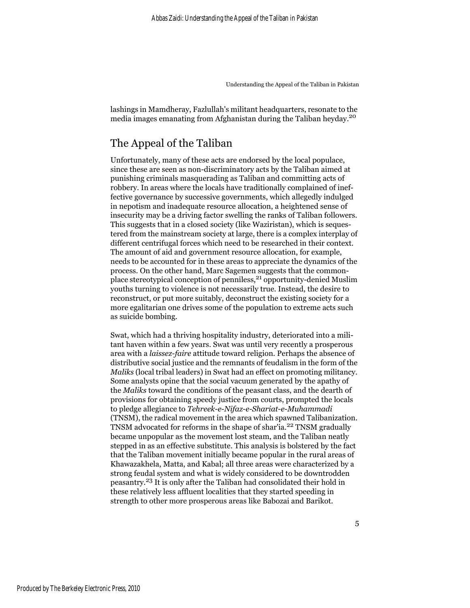lashings in Mamdheray, Fazlullah's militant headquarters, resonate to the media images emanating from Afghanistan during the Taliban heyday.<sup>20</sup>

# The Appeal of the Taliban

Unfortunately, many of these acts are endorsed by the local populace, since these are seen as non-discriminatory acts by the Taliban aimed at punishing criminals masquerading as Taliban and committing acts of robbery. In areas where the locals have traditionally complained of ineffective governance by successive governments, which allegedly indulged in nepotism and inadequate resource allocation, a heightened sense of insecurity may be a driving factor swelling the ranks of Taliban followers. This suggests that in a closed society (like Waziristan), which is sequestered from the mainstream society at large, there is a complex interplay of different centrifugal forces which need to be researched in their context. The amount of aid and government resource allocation, for example, needs to be accounted for in these areas to appreciate the dynamics of the process. On the other hand, Marc Sagemen suggests that the commonplace stereotypical conception of penniless,<sup>21</sup> opportunity-denied Muslim youths turning to violence is not necessarily true. Instead, the desire to reconstruct, or put more suitably, deconstruct the existing society for a more egalitarian one drives some of the population to extreme acts such as suicide bombing.

Swat, which had a thriving hospitality industry, deteriorated into a militant haven within a few years. Swat was until very recently a prosperous area with a *laissez-faire* attitude toward religion. Perhaps the absence of distributive social justice and the remnants of feudalism in the form of the *Maliks* (local tribal leaders) in Swat had an effect on promoting militancy. Some analysts opine that the social vacuum generated by the apathy of the *Maliks* toward the conditions of the peasant class, and the dearth of provisions for obtaining speedy justice from courts, prompted the locals to pledge allegiance to *Tehreek-e-Nifaz-e-Shariat-e-Muhammadi* (TNSM), the radical movement in the area which spawned Talibanization. TNSM advocated for reforms in the shape of shar'ia.<sup>22</sup> TNSM gradually became unpopular as the movement lost steam, and the Taliban neatly stepped in as an effective substitute. This analysis is bolstered by the fact that the Taliban movement initially became popular in the rural areas of Khawazakhela, Matta, and Kabal; all three areas were characterized by a strong feudal system and what is widely considered to be downtrodden peasantry.23 It is only after the Taliban had consolidated their hold in these relatively less affluent localities that they started speeding in strength to other more prosperous areas like Babozai and Barikot.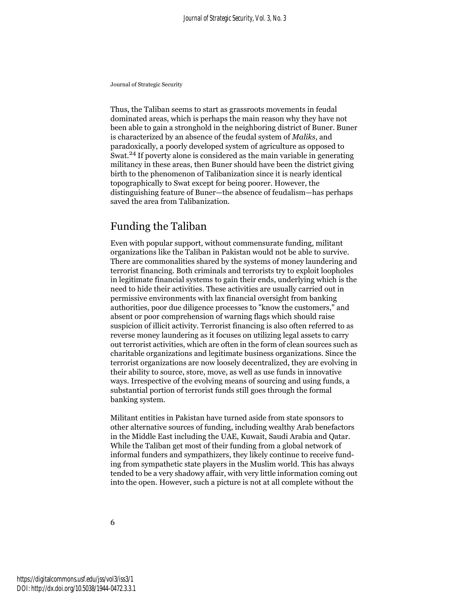Thus, the Taliban seems to start as grassroots movements in feudal dominated areas, which is perhaps the main reason why they have not been able to gain a stronghold in the neighboring district of Buner. Buner is characterized by an absence of the feudal system of *Maliks*, and paradoxically, a poorly developed system of agriculture as opposed to Swat.<sup>24</sup> If poverty alone is considered as the main variable in generating militancy in these areas, then Buner should have been the district giving birth to the phenomenon of Talibanization since it is nearly identical topographically to Swat except for being poorer. However, the distinguishing feature of Buner—the absence of feudalism—has perhaps saved the area from Talibanization.

# Funding the Taliban

Even with popular support, without commensurate funding, militant organizations like the Taliban in Pakistan would not be able to survive. There are commonalities shared by the systems of money laundering and terrorist financing. Both criminals and terrorists try to exploit loopholes in legitimate financial systems to gain their ends, underlying which is the need to hide their activities. These activities are usually carried out in permissive environments with lax financial oversight from banking authorities, poor due diligence processes to "know the customers," and absent or poor comprehension of warning flags which should raise suspicion of illicit activity. Terrorist financing is also often referred to as reverse money laundering as it focuses on utilizing legal assets to carry out terrorist activities, which are often in the form of clean sources such as charitable organizations and legitimate business organizations. Since the terrorist organizations are now loosely decentralized, they are evolving in their ability to source, store, move, as well as use funds in innovative ways. Irrespective of the evolving means of sourcing and using funds, a substantial portion of terrorist funds still goes through the formal banking system.

Militant entities in Pakistan have turned aside from state sponsors to other alternative sources of funding, including wealthy Arab benefactors in the Middle East including the UAE, Kuwait, Saudi Arabia and Qatar. While the Taliban get most of their funding from a global network of informal funders and sympathizers, they likely continue to receive funding from sympathetic state players in the Muslim world. This has always tended to be a very shadowy affair, with very little information coming out into the open. However, such a picture is not at all complete without the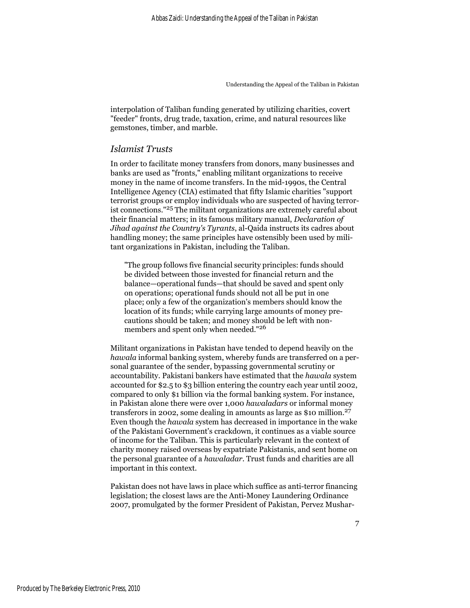interpolation of Taliban funding generated by utilizing charities, covert "feeder" fronts, drug trade, taxation, crime, and natural resources like gemstones, timber, and marble.

#### *Islamist Trusts*

In order to facilitate money transfers from donors, many businesses and banks are used as "fronts," enabling militant organizations to receive money in the name of income transfers. In the mid-1990s, the Central Intelligence Agency (CIA) estimated that fifty Islamic charities "support terrorist groups or employ individuals who are suspected of having terrorist connections."25 The militant organizations are extremely careful about their financial matters; in its famous military manual, *Declaration of Jihad against the Country's Tyrants*, al-Qaida instructs its cadres about handling money; the same principles have ostensibly been used by militant organizations in Pakistan, including the Taliban.

"The group follows five financial security principles: funds should be divided between those invested for financial return and the balance—operational funds—that should be saved and spent only on operations; operational funds should not all be put in one place; only a few of the organization's members should know the location of its funds; while carrying large amounts of money precautions should be taken; and money should be left with nonmembers and spent only when needed."<sup>26</sup>

Militant organizations in Pakistan have tended to depend heavily on the *hawala* informal banking system, whereby funds are transferred on a personal guarantee of the sender, bypassing governmental scrutiny or accountability. Pakistani bankers have estimated that the *hawala* system accounted for \$2.5 to \$3 billion entering the country each year until 2002, compared to only \$1 billion via the formal banking system. For instance, in Pakistan alone there were over 1,000 *hawaladars* or informal money transferors in 2002, some dealing in amounts as large as \$10 million.<sup>27</sup> Even though the *hawala* system has decreased in importance in the wake of the Pakistani Government's crackdown, it continues as a viable source of income for the Taliban. This is particularly relevant in the context of charity money raised overseas by expatriate Pakistanis, and sent home on the personal guarantee of a *hawaladar*. Trust funds and charities are all important in this context.

Pakistan does not have laws in place which suffice as anti-terror financing legislation; the closest laws are the Anti-Money Laundering Ordinance 2007, promulgated by the former President of Pakistan, Pervez Mushar-

7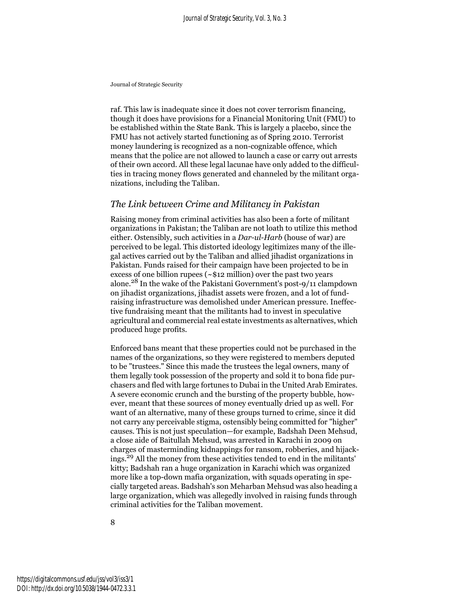raf. This law is inadequate since it does not cover terrorism financing, though it does have provisions for a Financial Monitoring Unit (FMU) to be established within the State Bank. This is largely a placebo, since the FMU has not actively started functioning as of Spring 2010. Terrorist money laundering is recognized as a non-cognizable offence, which means that the police are not allowed to launch a case or carry out arrests of their own accord. All these legal lacunae have only added to the difficulties in tracing money flows generated and channeled by the militant organizations, including the Taliban.

### *The Link between Crime and Militancy in Pakistan*

Raising money from criminal activities has also been a forte of militant organizations in Pakistan; the Taliban are not loath to utilize this method either. Ostensibly, such activities in a *Dar-ul-Harb* (house of war) are perceived to be legal. This distorted ideology legitimizes many of the illegal actives carried out by the Taliban and allied jihadist organizations in Pakistan. Funds raised for their campaign have been projected to be in excess of one billion rupees ( $\sim$ \$12 million) over the past two years alone.28 In the wake of the Pakistani Government's post-9/11 clampdown on jihadist organizations, jihadist assets were frozen, and a lot of fundraising infrastructure was demolished under American pressure. Ineffective fundraising meant that the militants had to invest in speculative agricultural and commercial real estate investments as alternatives, which produced huge profits.

Enforced bans meant that these properties could not be purchased in the names of the organizations, so they were registered to members deputed to be "trustees." Since this made the trustees the legal owners, many of them legally took possession of the property and sold it to bona fide purchasers and fled with large fortunes to Dubai in the United Arab Emirates. A severe economic crunch and the bursting of the property bubble, however, meant that these sources of money eventually dried up as well. For want of an alternative, many of these groups turned to crime, since it did not carry any perceivable stigma, ostensibly being committed for "higher" causes. This is not just speculation—for example, Badshah Deen Mehsud, a close aide of Baitullah Mehsud, was arrested in Karachi in 2009 on charges of masterminding kidnappings for ransom, robberies, and hijackings.29 All the money from these activities tended to end in the militants' kitty; Badshah ran a huge organization in Karachi which was organized more like a top-down mafia organization, with squads operating in specially targeted areas. Badshah's son Meharban Mehsud was also heading a large organization, which was allegedly involved in raising funds through criminal activities for the Taliban movement.

8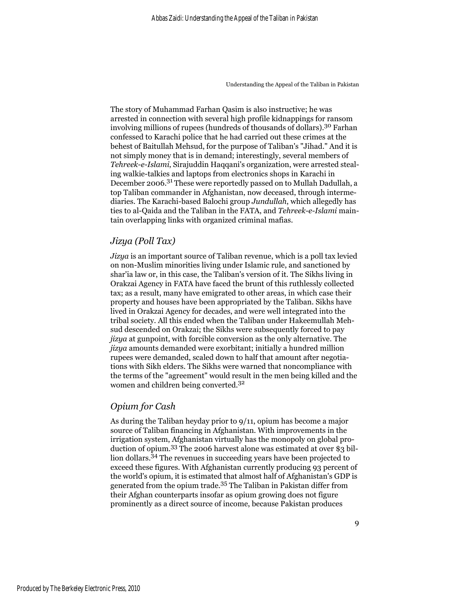The story of Muhammad Farhan Qasim is also instructive; he was arrested in connection with several high profile kidnappings for ransom involving millions of rupees (hundreds of thousands of dollars).30 Farhan confessed to Karachi police that he had carried out these crimes at the behest of Baitullah Mehsud, for the purpose of Taliban's "Jihad." And it is not simply money that is in demand; interestingly, several members of *Tehreek-e-Islami*, Sirajuddin Haqqani's organization, were arrested stealing walkie-talkies and laptops from electronics shops in Karachi in December 2006.31 These were reportedly passed on to Mullah Dadullah, a top Taliban commander in Afghanistan, now deceased, through intermediaries. The Karachi-based Balochi group *Jundullah*, which allegedly has ties to al-Qaida and the Taliban in the FATA, and *Tehreek-e-Islami* maintain overlapping links with organized criminal mafias.

### *Jizya (Poll Tax)*

*Jizya* is an important source of Taliban revenue, which is a poll tax levied on non-Muslim minorities living under Islamic rule, and sanctioned by shar'ia law or, in this case, the Taliban's version of it. The Sikhs living in Orakzai Agency in FATA have faced the brunt of this ruthlessly collected tax; as a result, many have emigrated to other areas, in which case their property and houses have been appropriated by the Taliban. Sikhs have lived in Orakzai Agency for decades, and were well integrated into the tribal society. All this ended when the Taliban under Hakeemullah Mehsud descended on Orakzai; the Sikhs were subsequently forced to pay *jizya* at gunpoint, with forcible conversion as the only alternative. The *jizya* amounts demanded were exorbitant; initially a hundred million rupees were demanded, scaled down to half that amount after negotiations with Sikh elders. The Sikhs were warned that noncompliance with the terms of the "agreement" would result in the men being killed and the women and children being converted.<sup>32</sup>

#### *Opium for Cash*

As during the Taliban heyday prior to 9/11, opium has become a major source of Taliban financing in Afghanistan. With improvements in the irrigation system, Afghanistan virtually has the monopoly on global production of opium.33 The 2006 harvest alone was estimated at over \$3 billion dollars.<sup>34</sup> The revenues in succeeding years have been projected to exceed these figures. With Afghanistan currently producing 93 percent of the world's opium, it is estimated that almost half of Afghanistan's GDP is generated from the opium trade.35 The Taliban in Pakistan differ from their Afghan counterparts insofar as opium growing does not figure prominently as a direct source of income, because Pakistan produces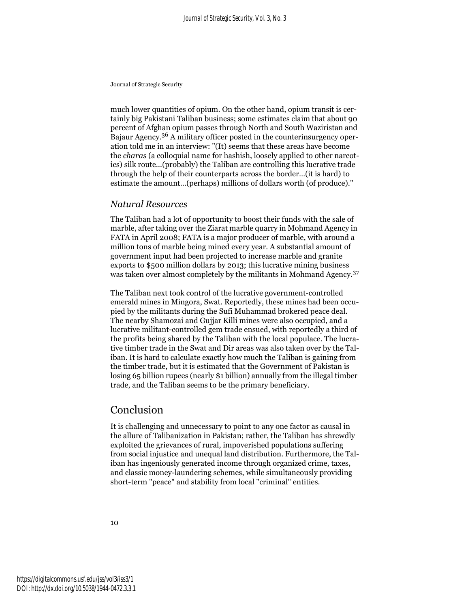much lower quantities of opium. On the other hand, opium transit is certainly big Pakistani Taliban business; some estimates claim that about 90 percent of Afghan opium passes through North and South Waziristan and Bajaur Agency.<sup>36</sup> A military officer posted in the counterinsurgency operation told me in an interview: "(It) seems that these areas have become the *charas* (a colloquial name for hashish, loosely applied to other narcotics) silk route…(probably) the Taliban are controlling this lucrative trade through the help of their counterparts across the border…(it is hard) to estimate the amount…(perhaps) millions of dollars worth (of produce)."

#### *Natural Resources*

The Taliban had a lot of opportunity to boost their funds with the sale of marble, after taking over the Ziarat marble quarry in Mohmand Agency in FATA in April 2008; FATA is a major producer of marble, with around a million tons of marble being mined every year. A substantial amount of government input had been projected to increase marble and granite exports to \$500 million dollars by 2013; this lucrative mining business was taken over almost completely by the militants in Mohmand Agency.37

The Taliban next took control of the lucrative government-controlled emerald mines in Mingora, Swat. Reportedly, these mines had been occupied by the militants during the Sufi Muhammad brokered peace deal. The nearby Shamozai and Gujjar Killi mines were also occupied, and a lucrative militant-controlled gem trade ensued, with reportedly a third of the profits being shared by the Taliban with the local populace. The lucrative timber trade in the Swat and Dir areas was also taken over by the Taliban. It is hard to calculate exactly how much the Taliban is gaining from the timber trade, but it is estimated that the Government of Pakistan is losing 65 billion rupees (nearly \$1 billion) annually from the illegal timber trade, and the Taliban seems to be the primary beneficiary.

## Conclusion

It is challenging and unnecessary to point to any one factor as causal in the allure of Talibanization in Pakistan; rather, the Taliban has shrewdly exploited the grievances of rural, impoverished populations suffering from social injustice and unequal land distribution. Furthermore, the Taliban has ingeniously generated income through organized crime, taxes, and classic money-laundering schemes, while simultaneously providing short-term "peace" and stability from local "criminal" entities.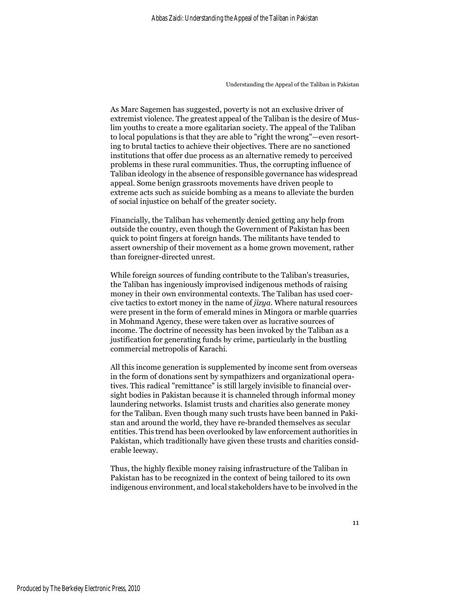As Marc Sagemen has suggested, poverty is not an exclusive driver of extremist violence. The greatest appeal of the Taliban is the desire of Muslim youths to create a more egalitarian society. The appeal of the Taliban to local populations is that they are able to "right the wrong"—even resorting to brutal tactics to achieve their objectives. There are no sanctioned institutions that offer due process as an alternative remedy to perceived problems in these rural communities. Thus, the corrupting influence of Taliban ideology in the absence of responsible governance has widespread appeal. Some benign grassroots movements have driven people to extreme acts such as suicide bombing as a means to alleviate the burden of social injustice on behalf of the greater society.

Financially, the Taliban has vehemently denied getting any help from outside the country, even though the Government of Pakistan has been quick to point fingers at foreign hands. The militants have tended to assert ownership of their movement as a home grown movement, rather than foreigner-directed unrest.

While foreign sources of funding contribute to the Taliban's treasuries, the Taliban has ingeniously improvised indigenous methods of raising money in their own environmental contexts. The Taliban has used coercive tactics to extort money in the name of *jizya*. Where natural resources were present in the form of emerald mines in Mingora or marble quarries in Mohmand Agency, these were taken over as lucrative sources of income. The doctrine of necessity has been invoked by the Taliban as a justification for generating funds by crime, particularly in the bustling commercial metropolis of Karachi.

All this income generation is supplemented by income sent from overseas in the form of donations sent by sympathizers and organizational operatives. This radical "remittance" is still largely invisible to financial oversight bodies in Pakistan because it is channeled through informal money laundering networks. Islamist trusts and charities also generate money for the Taliban. Even though many such trusts have been banned in Pakistan and around the world, they have re-branded themselves as secular entities. This trend has been overlooked by law enforcement authorities in Pakistan, which traditionally have given these trusts and charities considerable leeway.

Thus, the highly flexible money raising infrastructure of the Taliban in Pakistan has to be recognized in the context of being tailored to its own indigenous environment, and local stakeholders have to be involved in the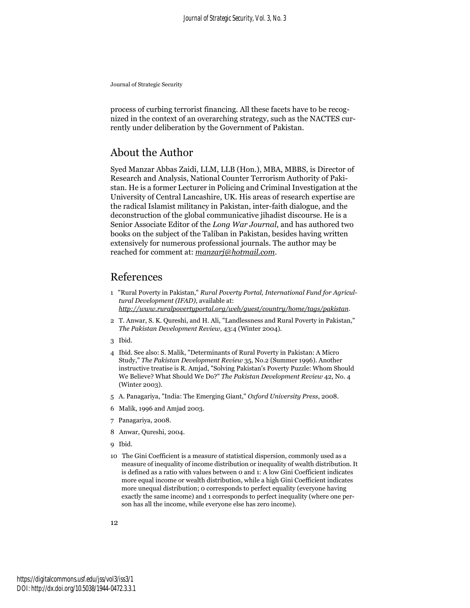process of curbing terrorist financing. All these facets have to be recognized in the context of an overarching strategy, such as the NACTES currently under deliberation by the Government of Pakistan.

# About the Author

Syed Manzar Abbas Zaidi, LLM, LLB (Hon.), MBA, MBBS, is Director of Research and Analysis, National Counter Terrorism Authority of Pakistan. He is a former Lecturer in Policing and Criminal Investigation at the University of Central Lancashire, UK. His areas of research expertise are the radical Islamist militancy in Pakistan, inter-faith dialogue, and the deconstruction of the global communicative jihadist discourse. He is a Senior Associate Editor of the *Long War Journal*, and has authored two books on the subject of the Taliban in Pakistan, besides having written extensively for numerous professional journals. The author may be reached for comment at: *manzarj@hotmail.com*.

## References

- 1 "Rural Poverty in Pakistan," *Rural Poverty Portal, International Fund for Agricultural Development (IFAD)*, available at: *http://www.ruralpovertyportal.org/web/guest/country/home/tags/pakistan*.
- 2 T. Anwar, S. K. Qureshi, and H. Ali, "Landlessness and Rural Poverty in Pakistan," *The Pakistan Development Review*, 43:4 (Winter 2004).
- 3 Ibid.
- 4 Ibid. See also: S. Malik, "Determinants of Rural Poverty in Pakistan: A Micro Study," *The Pakistan Development Review* 35, No.2 (Summer 1996). Another instructive treatise is R. Amjad, "Solving Pakistan's Poverty Puzzle: Whom Should We Believe? What Should We Do?" *The Pakistan Development Review* 42, No. 4 (Winter 2003).
- 5 A. Panagariya, "India: The Emerging Giant," *Oxford University Press*, 2008.
- 6 Malik, 1996 and Amjad 2003.
- 7 Panagariya, 2008.
- 8 Anwar, Qureshi, 2004.
- 9 Ibid.
- 10 The Gini Coefficient is a measure of statistical dispersion, commonly used as a measure of inequality of income distribution or inequality of wealth distribution. It is defined as a ratio with values between 0 and 1: A low Gini Coefficient indicates more equal income or wealth distribution, while a high Gini Coefficient indicates more unequal distribution; 0 corresponds to perfect equality (everyone having exactly the same income) and 1 corresponds to perfect inequality (where one person has all the income, while everyone else has zero income).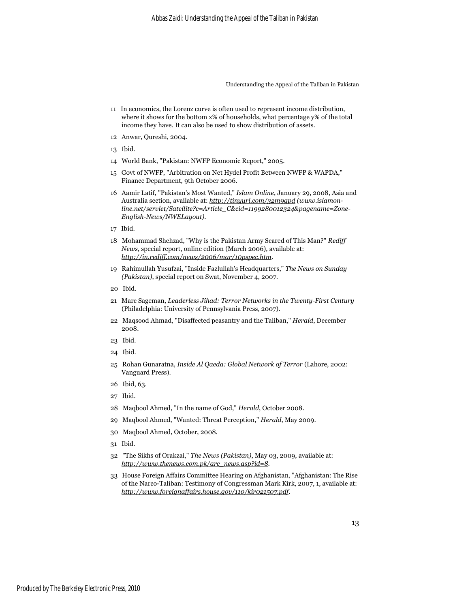- <span id="page-14-0"></span>11 In economics, the Lorenz curve is often used to represent income distribution, where it shows for the bottom x% of households, what percentage y% of the total income they have. It can also be used to show distribution of assets.
- 12 Anwar, Qureshi, 2004.
- 13 Ibid.
- 14 World Bank, "Pakistan: NWFP Economic Report," 2005.
- 15 Govt of NWFP, "Arbitration on Net Hydel Profit Between NWFP & WAPDA," Finance Department, 9th October 2006.
- 16 Aamir Latif, "Pakistan's Most Wanted," *Islam Online*, January 29, 2008, Asia and Australia section, available at: *http://tinyurl.com/32m9gpd (www.islamonline.net/servlet/Satellite?c=Article\_C&cid=1199280012324&pagename=Zone-English-News/NWELayout)*.
- 17 Ibid.
- 18 Mohammad Shehzad, "Why is the Pakistan Army Scared of This Man?" *Rediff News*, special report, online edition (March 2006), available at: *http://in.rediff.com/news/2006/mar/10pspec.htm*.
- 19 Rahimullah Yusufzai, "Inside Fazlullah's Headquarters," *The News on Sunday (Pakistan)*, special report on Swat, November 4, 2007.
- 20 Ibid.
- 21 Marc Sageman, *Leaderless Jihad: Terror Networks in the Twenty-First Century* (Philadelphia: University of Pennsylvania Press, 2007).
- 22 Maqsood Ahmad, "Disaffected peasantry and the Taliban," *Herald*, December 2008.
- 23 Ibid.
- 24 Ibid.
- 25 Rohan Gunaratna, *Inside Al Qaeda: Global Network of Terror* (Lahore, 2002: Vanguard Press).
- 26 Ibid, 63.
- 27 Ibid.
- 28 Maqbool Ahmed, "In the name of God," *Herald*, October 2008.
- 29 Maqbool Ahmed, "Wanted: Threat Perception," *Herald*, May 2009.
- 30 Maqbool Ahmed, October, 2008.
- 31 Ibid.
- 32 "The Sikhs of Orakzai," *The News (Pakistan)*, May 03, 2009, available at: *http://www.thenews.com.pk/arc\_news.asp?id=8*.
- 33 House Foreign Affairs Committee Hearing on Afghanistan, "Afghanistan: The Rise of the Narco-Taliban: Testimony of Congressman Mark Kirk, 2007, 1, available at: *http://www.foreignaffairs.house.gov/110/kir021507.pdf*.